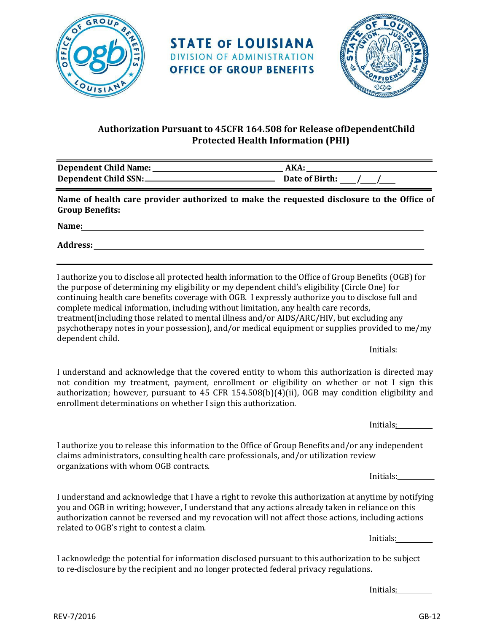



## **Authorization Pursuant to 45CFR 164.508 for Release ofDependentChild Protected Health Information (PHI)**

| Dependent Child Name:        | AKA            |
|------------------------------|----------------|
| <b>Dependent Child SSN:-</b> | Date of Birth: |

**STATE OF LOUISIANA DIVISION OF ADMINISTRATION OFFICE OF GROUP BENEFITS** 

**Name of health care provider authorized to make the requested disclosure to the Office of Group Benefits:**

**Name:**

**Address:**

I authorize you to disclose all protected health information to the Office of Group Benefits (OGB) for the purpose of determining my eligibility or my dependent child's eligibility (Circle One) for continuing health care benefits coverage with OGB. I expressly authorize you to disclose full and complete medical information, including without limitation, any health care records, treatment(including those related to mental illness and/or AIDS/ARC/HIV, but excluding any psychotherapy notes in your possession), and/or medical equipment or supplies provided to me/my dependent child.

Initials:

I understand and acknowledge that the covered entity to whom this authorization is directed may not condition my treatment, payment, enrollment or eligibility on whether or not I sign this authorization; however, pursuant to 45 CFR 154.508(b)(4)(ii), OGB may condition eligibility and enrollment determinations on whether I sign this authorization.

Initials:

I authorize you to release this information to the Office of Group Benefits and/or any independent claims administrators, consulting health care professionals, and/or utilization review organizations with whom OGB contracts.

Initials:

I understand and acknowledge that I have a right to revoke this authorization at anytime by notifying you and OGB in writing; however, I understand that any actions already taken in reliance on this authorization cannot be reversed and my revocation will not affect those actions, including actions related to OGB's right to contest a claim.

Initials:

I acknowledge the potential for information disclosed pursuant to this authorization to be subject to re-disclosure by the recipient and no longer protected federal privacy regulations.

Initials: